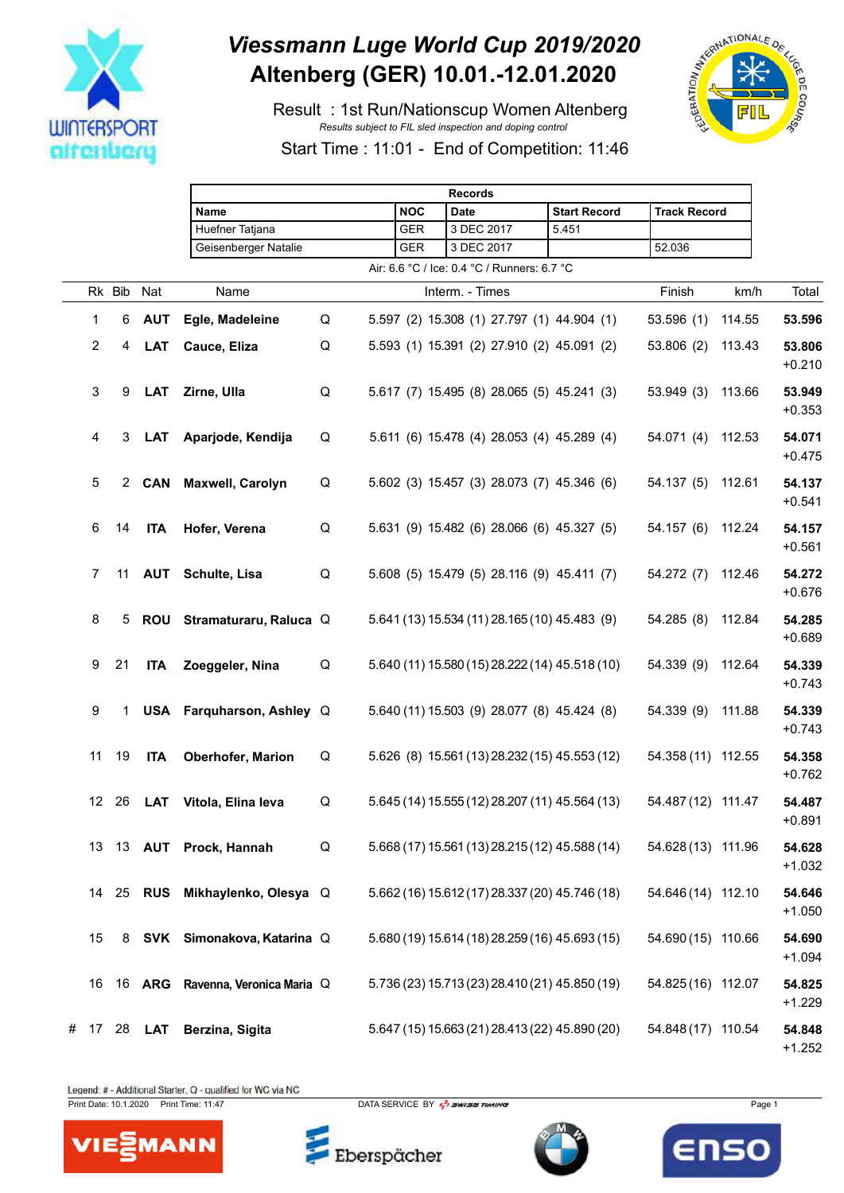

## *Viessmann Luge World Cup 2019/2020* **Altenberg (GER) 10.01.-12.01.2020**

 Result : 1st Run/Nationscup Women Altenberg *Results subject to FIL sled inspection and doping control*



Start Time : 11:01 - End of Competition: 11:46

|   |                           |        |            | <b>Records</b>                   |   |  |            |                                                |                     |                     |        |                    |
|---|---------------------------|--------|------------|----------------------------------|---|--|------------|------------------------------------------------|---------------------|---------------------|--------|--------------------|
|   |                           |        |            | Name                             |   |  | <b>NOC</b> | <b>Date</b>                                    | <b>Start Record</b> | <b>Track Record</b> |        |                    |
|   |                           |        |            | Huefner Tatjana                  |   |  | <b>GER</b> | 3 DEC 2017                                     | 5.451               |                     |        |                    |
|   |                           |        |            | Geisenberger Natalie             |   |  | GER        | 3 DEC 2017                                     |                     | 52.036              |        |                    |
|   |                           |        |            |                                  |   |  |            | Air: 6.6 °C / Ice: 0.4 °C / Runners: 6.7 °C    |                     |                     |        |                    |
|   |                           | Rk Bib | Nat        | Name                             |   |  |            | Interm. - Times                                |                     | Finish              | km/h   | Total              |
|   | $\mathbf{1}$              | 6      | <b>AUT</b> | Egle, Madeleine                  | Q |  |            | 5.597 (2) 15.308 (1) 27.797 (1) 44.904 (1)     |                     | 53.596(1)           | 114.55 | 53.596             |
|   | $\boldsymbol{2}$          | 4      | <b>LAT</b> | Cauce, Eliza                     | Q |  |            | 5.593 (1) 15.391 (2) 27.910 (2) 45.091 (2)     |                     | 53.806(2)           | 113.43 | 53.806<br>$+0.210$ |
|   | $\ensuremath{\mathsf{3}}$ | 9      | <b>LAT</b> | Zirne, Ulla                      | Q |  |            | 5.617 (7) 15.495 (8) 28.065 (5) 45.241 (3)     |                     | 53.949 (3)          | 113.66 | 53.949<br>$+0.353$ |
|   | 4                         | 3      | <b>LAT</b> | Aparjode, Kendija                | Q |  |            | 5.611 (6) 15.478 (4) 28.053 (4) 45.289 (4)     |                     | 54.071 (4)          | 112.53 | 54.071<br>$+0.475$ |
|   | $\sqrt{5}$                | 2      | <b>CAN</b> | Maxwell, Carolyn                 | Q |  |            | 5.602 (3) 15.457 (3) 28.073 (7) 45.346 (6)     |                     | 54.137(5)           | 112.61 | 54.137<br>$+0.541$ |
|   | 6                         | 14     | <b>ITA</b> | Hofer, Verena                    | Q |  |            | 5.631 (9) 15.482 (6) 28.066 (6) 45.327 (5)     |                     | 54.157(6)           | 112.24 | 54.157<br>$+0.561$ |
|   | 7                         | 11     | <b>AUT</b> | Schulte, Lisa                    | Q |  |            | 5.608 (5) 15.479 (5) 28.116 (9) 45.411 (7)     |                     | 54.272 (7)          | 112.46 | 54.272<br>$+0.676$ |
|   | 8                         | 5      |            | ROU Stramaturaru, Raluca Q       |   |  |            | 5.641 (13) 15.534 (11) 28.165 (10) 45.483 (9)  |                     | 54.285 (8)          | 112.84 | 54.285<br>$+0.689$ |
|   | 9                         | 21     | <b>ITA</b> | Zoeggeler, Nina                  | Q |  |            | 5.640 (11) 15.580 (15) 28.222 (14) 45.518 (10) |                     | 54.339 (9)          | 112.64 | 54.339<br>$+0.743$ |
|   | 9                         | 1      |            | USA Farquharson, Ashley Q        |   |  |            | 5.640 (11) 15.503 (9) 28.077 (8) 45.424 (8)    |                     | 54.339 (9)          | 111.88 | 54.339<br>$+0.743$ |
|   | 11                        | 19     | <b>ITA</b> | Oberhofer, Marion                | Q |  |            | 5.626 (8) 15.561 (13) 28.232 (15) 45.553 (12)  |                     | 54.358 (11) 112.55  |        | 54.358<br>$+0.762$ |
|   |                           | 12 26  | <b>LAT</b> | Vitola, Elina leva               | Q |  |            | 5.645 (14) 15.555 (12) 28.207 (11) 45.564 (13) |                     | 54.487 (12) 111.47  |        | 54.487<br>$+0.891$ |
|   | 13                        |        |            | 13 AUT Prock, Hannah             | Q |  |            | 5.668 (17) 15.561 (13) 28.215 (12) 45.588 (14) |                     | 54.628 (13) 111.96  |        | 54.628<br>$+1.032$ |
|   | 14                        |        |            | 25 RUS Mikhaylenko, Olesya Q     |   |  |            | 5.662 (16) 15.612 (17) 28.337 (20) 45.746 (18) |                     | 54.646 (14) 112.10  |        | 54.646<br>$+1.050$ |
|   | 15                        |        |            | 8 SVK Simonakova, Katarina Q     |   |  |            | 5.680 (19) 15.614 (18) 28.259 (16) 45.693 (15) |                     | 54.690 (15) 110.66  |        | 54.690<br>$+1.094$ |
|   | 16                        |        |            | 16 ARG Ravenna, Veronica Maria Q |   |  |            | 5.736 (23) 15.713 (23) 28.410 (21) 45.850 (19) |                     | 54.825 (16) 112.07  |        | 54.825<br>$+1.229$ |
| # | 17                        | 28     | <b>LAT</b> | Berzina, Sigita                  |   |  |            | 5.647 (15) 15.663 (21) 28.413 (22) 45.890 (20) |                     | 54.848 (17) 110.54  |        | 54.848<br>$+1.252$ |

Legend: # - Additional Starter, Q - qualified for WC via NC

Print Date: 10.1.2020 Print Time: 11:47 DATA SERVICE BY  $\frac{7}{2}$  SWISS TIMING



Eberspächer